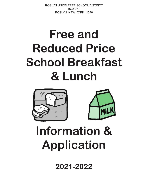ROSLYN UNION FREE SCHOOL DISTRICT BOX 367 ROSLYN, NEW YORK 11576

# **Free and Reduced Price School Breakfast & Lunch**





# **Information & Application**

**2021-2022**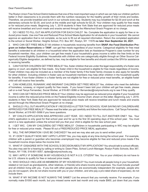# Dear Parent/Guardian:

The Roslyn Union Free School District believes that one of the most important ways in which we can help our children perform better in their classrooms is to provide them with the nutrition necessary for the healthy growth of their minds and bodies. Therefore, we provide breakfast and lunch in our schools every day. Students may buy breakfast for \$2.00 and lunch at the elementary schools for \$3.00, and lunch at the middle and high schools for \$3.25. Your children may qualify for free meals or for reduced price meals. Beginning July 1, 2019 students in New York State that are approved for reduced price meals will receive breakfast and lunch meals and snacks served through the Afterschool Snack Program at no charge.

1. DO I NEED TO FILL OUT AN APPLICATION FOR EACH CHILD? No. Complete the application to apply for free or reduced price meals. Use one Free and Reduced Price School Meals Application for all students in your household. We cannot approve an application that is not complete, so be sure to fill out all required information. Return the completed application to the school or Social Worker, Heights School, P.O. Box 367, Roslyn, NY 11576 **no later than September 24, 2021**.

2. WHO CAN GET FREE MEALS? All children in households receiving benefits from **SNAP, the Food Distribution Program on Indian Reservations** or **TANF**, can get free meals regardless of your income. Categorical eligibility for free meal benefits is extended to all children in a household when the application lists an Assistance Program's case number for any household member. Also, your children can get free meals if your household's gross income is within the free limits on the Federal Income Eligibility Guidelines. Households with children who are categorically eligible through an Other Source Categorically Eligible designation, as defined by law, may be eligible for free benefits and should contact the SFA for assistance in receiving benefits.

3. CAN FOSTER CHILDREN GET FREE MEALS? Yes, foster children that are under the legal responsibility of a foster care agency or court, are eligible for free meals. Any foster child in the household is eligible for free meals regardless of income. Foster children may also be included as a member of the foster family if the foster family chooses to also apply for benefits for other children. Including children in foster care as household members may help other children in the household qualify for benefits. If non-foster children in a foster family are not eligible for free or reduced price meal benefits, an eligible foster child will still receive free benefits.

4. CAN HOMELESS, RUNAWAY, AND MIGRANT CHILDREN GET FREE MEALS? Yes, children who meet the definition of homeless, runaway, or migrant qualify for free meals. If you haven't been told your children will get free meals, please call or e-mail Tanya Fernandez, Social Worker, at 516-801-5066 or tfernandez@roslynschools.org to see if they qualify.

5. WHO CAN GET REDUCED PRICE MEALS? Your children may be approved as reduced price eligible if your household income is within the reduced-price limits on the Federal Eligibility Income Chart, shown on this letter. Beginning July 1, 2019, students in New York State that are approved for reduced price meals will receive breakfast and lunch meals and snacks served through the Afterschool Snack Program at no charge.

6. SHOULD I FILL OUT AN APPLICATION IF I RECEIVED A LETTER THIS SCHOOL YEAR SAYING MY CHILDREN ARE APPROVED FOR FREE MEALS? Please read the letter you got carefully and follow the instructions. Call Tanya Fernandez, Social Worker, at 516-801-5066 if you have questions.

7. MY CHILD'S APPLICATION WAS APPROVED LAST YEAR. DO I NEED TO FILL OUT ANOTHER ONE? Yes. Your child's application is only good for that school year and for up to the first 30 operating days of this school year. You must send in a new application unless the school told you that your child is eligible for the new school year.

8. I GET WIC. CAN MY CHILD(REN) GET FREE MEALS? Children in households participating in WIC may be eligible for free or reduced price meals. Please fill out a FREE/REDUCED PRICE MEAL application.

9. WILL THE INFORMATION I GIVE BE CHECKED? Yes and we may also ask you to send written proof.

10. IF I DON'T QUALIFY NOW, MAY I APPLY LATER? Yes, you may apply at any time during the school year. For example, children with a parent or guardian who becomes unemployed may become eligible for free and reduced price meals if the household income drops below the income limit.

11. WHAT IF I DISAGREE WITH THE SCHOOL'S DECISION ABOUT MY APPLICATION? You should talk to school officials. You also may ask for a hearing by calling or writing to: Dawn Piteo, School Lunch Manager, Roslyn Public Schools, Box 367, Roslyn, NY 1156, 516-801-5057, dpiteo@roslynschools.org.

12. MAY I APPLY IF SOMEONE IN MY HOUSEHOLD IS NOT A U.S. CITIZEN? Yes. You or your child(ren) do not have to be U.S. citizens to qualify for free or reduced price meals.

13. WHO SHOULD I INCLUDE AS MEMBERS OF MY HOUSEHOLD? You must include all people living in your household, related or not (such as grandparents, other relatives, or friends) who share income and expenses. You must include yourself and all children living with you. If you live with other people who are economically independent (for example, people who you do not support, who do not share income with you or your children, and who pay a pro-rated share of expenses), do not include them.

14. WHAT IF MY INCOME IS NOT ALWAYS THE SAME? List the amount that you normally receive. For example, if you normally make \$1000 each month, but you missed some work last month and only made \$900, put down that you made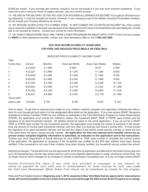\$1000 per month. If you normally get overtime, include it, but do not include it if you only work overtime sometimes. If you have lost a job or had your hours or wages reduced, use your current income.

15. WE ARE IN THE MILITARY. DO WE INCLUDE OUR HOUSING ALLOWANCE AS INCOME? If you get an off-base housing allowance, it must be included as income. However, if your housing is part of the Military Housing Privatization Initiative, do not include your housing allowance as income.

16. MY SPOUSE IS DEPLOYED TO A COMBAT ZONE. IS HER COMBAT PAY COUNTED AS INCOME? No, if the combat pay is received in addition to her basic pay because of her deployment and it wasn't received before she was deployed, combat pay is not counted as income. Contact your school for more information.

17. MY FAMILY NEEDS MORE HELP. ARE THERE OTHER PROGRAMS WE MIGHT APPLY FOR? To find out how to apply for **SNAP** or other assistance benefits, contact your local assistance office or call **1-800-342-3009**.

# **2021-2022 INCOME ELIGIBILITY GUIDELINES FOR FREE AND REDUCED PRICE MEALS OR FREE MILK**

| Total              |          |         |                 |                        |         |
|--------------------|----------|---------|-----------------|------------------------|---------|
| <b>Family Size</b> | Annual   | Monthly | Twice per Month | <b>Every Two Weeks</b> | Weekly  |
| $\mathbf{1}$       | \$23,828 | \$1,986 | \$993           | \$917                  | \$459   |
| 2                  | \$32,227 | \$2,686 | \$1,343         | \$1,240                | \$620   |
| 3                  | \$40,626 | \$3,386 | \$1,693         | \$1,563                | \$782   |
| 4                  | \$49,025 | \$4,086 | \$2,043         | \$1,886                | \$943   |
| 5                  | \$57,424 | \$4,786 | \$2,393         | \$2,209                | \$1,105 |
| 6                  | \$65,823 | \$5,486 | \$2,743         | \$2,532                | \$1,266 |
| 7                  | \$74,222 | \$6,186 | \$3,093         | \$2,855                | \$1,428 |
| 8                  | \$82,621 | \$6,886 | \$3,443         | \$3,178                | \$1,589 |
| *Each Add'l        |          |         |                 |                        |         |
| person add         | \$8,399  | \$700   | \$350           | \$324                  | \$162   |

# REDUCED PRICE ELIGIBILITY INCOME CHART

How to Apply: To get free or reduced price meals for your children carefully complete one application following the instructions for your household and return it to the designated office listed on the application. If you now receive SNAP, Temporary Assistance to Needy Families (TANF) for any children or participate in the Food Distribution Program on Indian Reservations (FDPIR), the application must include the children's names, the household SNAP, TANF or FDPIR case number and the signature of an adult household member. All children should be listed on the same application. If you do not list a SNAP, TANF or FDPIR case number for any household member, the application must include the names of everyone in the household, the amount of income each household member, and how often it is received and where it comes from. It must include the signature of an adult household member and the last four digits of that adult's social security number or check the box if the adult does not have a social security number. **An application for free and reduced price benefits cannot be approved unless complete eligibility information is submitted, as indicated on the application and in the instructions**. Contact your local Department of Social Services for your SNAP or TANF case number or complete the income portion of the application. No application is necessary if the household was notified by the SFA their children have been directly certified. If the household is not sure if their children have been directly certified, the household should contact the school.

Reporting Changes: The benefits that you are approved for at the time of application are effective for the entire school year and up to 30 operating days into the new school year (or until a new eligibility determination is made, whichever comes first). You no longer need to report changes for an increase in income or decrease in household size, or if you no longer receive SNAP.

Income Exclusions:The value of any child care provided or arranged, or any amount received as payment for such child care or reimbursement for costs incurred for such care under the Child Care Development (Block Grant) Fund should not be considered as income for this program.

Reduced Price Eligible Students: **Beginning July 1, 2019, students in New York State that are approved for reduced price meals will receive breakfast and lunch meals and snacks served through the Afterschool Snack Program at no charge.**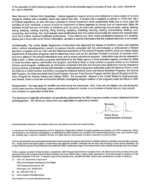In the operation of child feeding programs, no child will be discriminated against because of race, sex, color, national origin, age or disability

Meal Service to Children With Disabilities: Federal regulations require schools and institutions to serve meals at no extra charge to children with a disability which may restrict their diet. A student with a disability is defined in 7CFR Part 15b.3 of Federal regulations, as one who has a physical or mental impairment which substantially limits one or more major life activities of such individual, a record of such an impairment or being regarded as having such an impairment. Major life activities include but are not limited to: functions such as caring for one's self, performing manual tasks, seeing, hearing, eating, sleeping, walking, standing, lifting, bending, speaking, breathing, learning, reading, concentrating, thinking, communicating, and working. You must request meal modifications from the school and provide the school with medical statement from a State licensed healthcare professional. If you believe your child needs substitutions because of a disability, please get in touch with us for further information, as there is specific information that the medical statement must contain.

Confidentiality: The United States Department of Agriculture has approved the release of students names and eligibility status, without parent/guardian consent, to persons directly connected with the administration or enforcement of federal education programs such as Title I and the National Assessment of Educational Progress (NAEP), which are United States Department of Education programs used to determine areas such as the allocation of funds to schools, to evaluate socioeconomic status of the school's attendance area, and to assess educational progress. Information may also be released to State health or State education programs administered by the State agency or local education agency, provided the State or local education agency administers the program, and federal State or local nutrition programs similar to the National School Lunch Program. Additionally, all information contained in the free and reduced price application may be released to persons directly connected with the administration or enforcement of programs authorized under the National School Lunch Act (NSLA) or Child Nutrition Act (CNA); including the National School Lunch and School Breakfast Programs, the Special Milk Program, the Child and Adult Care Food Program, Summer Food Service Program and the Special Supplemental Nutrition Program for Women Infants and Children (WIC); the Comptroller General of the United States for audit purposes, and federal, State or local law enforcement officials investigating alleged violation of the programs under the NSLA or CNA.

Reapplication: You may apply for benefits any time during the school year. Also, if you are not eligible now, but during the school year become unemployed, have a decrease in household income, or an increase in family size you may request and complete an application at that time.

The disclosure of eligibility information not specifically authorized by the NSLA requires a written consent statement from the parent/quardian. We will let you know when your application is approved or denied.

Sincerely,

**Allison Brown** Superintendent of Schools

Nondiscrimination Statement: This explains what to do if you believe you have been treated unfairly.

In accordance with Federal civil rights law and U.S. Department of Agriculture (USDA) civil rights regulations and policies, the USDA, its Agencies, offices, and employees, and institutions participating in or administering USDA programs are prohibited from discriminating based on race, color, national origin, sex, disability, age, or reprisal or retaliation for prior civil rights activity in any program or activity conducted or funded by USDA.

Persons with disabilities who require alternative means of communication for program information (e.g. Braille, large print, audiotape, American Sign Language, etc.), should contact the Agency (State or local) where they applied for benefits. Individuals who are deaf, hard of hearing or have speech disabilities may contact USDA through the Federal Relay Service at (800) 877-8339. Additionally, program information may be made available in languages other than English.

To file a program complaint of discrimination, complete the USDA Program Discrimination Complaint Form, (AD-3027) found online at: https://www.usda. gov/oascr/how-to-file-a-program-discrimination-complaint and at any USDA office, or write a letter addressed to USDA and provide in the letter all of the information requested in the form. To request a copy of the complaint form, call (866) 632-9992. Submit your completed form or letter to USDA by:

mail: U.S. Department of Agriculture  $(1)$ Office of the Assistant Secretary for Civil Rights 1400 Independence Avenue, SW Washington, D.C. 20250-9410;  $(2)$ fax: (202) 690-7442; or

- 
- $(3)$ email: program.intake@usda.gov.

This institution is an equal opportunity provider.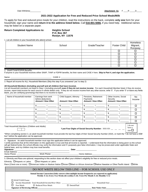## **2021-2022 Application for Free and Reduced Price School Meals/Milk**

To apply for free and reduced price meals for your children, read the instructions on the back, complete **only one** form for your household, sign your name and **return it to the address listed below.** Call **516-801-5066***,* if you need help. Additional names may be listed on a separate paper.

## **Return Completed Applications to: Heights School**

**P.O. Box 367 Roslyn, NY 11576**

1. List all children in your household who attend school:

| <b>Student Name</b> | School | Grade/Teacher | <b>Foster Child</b> | Homeless<br>Migrant,<br>Runaway |
|---------------------|--------|---------------|---------------------|---------------------------------|
|                     |        |               |                     |                                 |
|                     |        |               |                     |                                 |
|                     |        |               |                     |                                 |
|                     |        |               |                     |                                 |
|                     |        |               |                     |                                 |
|                     |        |               |                     |                                 |
|                     |        |               |                     |                                 |

#### 2. SNAP/TANF/FDPIR Benefits:

If anyone in your household receives either SNAP, TANF or FDPIR benefits, list their name and CASE # here. **Skip to Part 4, and sign the application.**

| Name <sup>-</sup> |  |
|-------------------|--|
|                   |  |
|                   |  |

 $CASE$  #:  $\_$ 

3. Report all income for ALL Household Members (Skip this step if you answered 'yes' to step 2)

#### **All Household Members (including yourself and all children that have income).**

List all Household members not listed in Step 1 (including yourself) **even if they do not receive income**. For each Household Member listed, if they do receive income, report total income for each source in whole dollars only. If they do not receive income from any other source, write '0'. If you enter '0' or leave any fields blank, you are certifying (promising) that there is no income to report.

| Name of household member | Earnings from work<br>before deductions<br><b>Amount / How Often</b> | Child Support, Alimony<br><b>Amount / How Often</b> | Pensions, Retirement<br>Payments<br><b>Amount / How Often</b> | Other Income, Social<br>Security<br><b>Amount / How Often</b> | No.<br>Income |
|--------------------------|----------------------------------------------------------------------|-----------------------------------------------------|---------------------------------------------------------------|---------------------------------------------------------------|---------------|
|                          |                                                                      |                                                     |                                                               |                                                               |               |
|                          |                                                                      |                                                     |                                                               |                                                               | п             |
|                          |                                                                      |                                                     |                                                               |                                                               | ⊓             |
|                          |                                                                      |                                                     |                                                               |                                                               | п             |
|                          |                                                                      |                                                     |                                                               |                                                               | −             |
|                          |                                                                      |                                                     |                                                               |                                                               | I do not      |

Total Household Members (Children and Adults)

\*Last Four Digits of Social Security Number: XXX-XX-

have a  $SS#$ 

\*When completing section 3, an adult household member must provide the last four digits of their Social Security Number (SS#), or mark the "I do not have a SS# box" before the application can be approved.

4. Signature: An adult household member must sign this application before it can be approved.

I certify (promise) that all the information on this application is true and that all income is reported. I understand that the information is being given so the school will get federal funds; the school officials may verify the information and if I purposely give false information, I may be prosecuted under applicable State and federal laws, and my children may lose meal benefits. **Signature:** \_\_\_\_\_\_\_\_\_\_\_\_\_\_\_\_\_\_\_\_\_\_\_\_\_\_\_\_\_\_\_\_\_\_\_\_\_\_\_\_\_\_\_\_\_\_\_\_\_\_\_ **Date:** \_\_\_\_\_\_\_\_\_\_\_\_\_\_\_\_\_\_\_

| Signature:     |  |
|----------------|--|
| Email Address: |  |

Home Phone: \_\_\_\_\_\_\_\_\_\_\_\_\_\_\_\_\_\_\_\_\_ Work Phone: \_\_\_\_\_\_\_\_\_\_\_\_\_\_\_\_\_\_\_\_\_\_\_\_\_ Home Address:\_\_\_\_\_\_\_\_\_\_\_\_\_\_\_\_\_\_\_\_\_\_\_\_\_\_\_\_\_\_\_\_\_\_\_\_\_\_\_\_\_\_\_\_

5. Ethnicity and Race are optional; responding to this section does not affect your children's eligibility for free or reduced price meals.

Ethnicity: **Hispanic or Latino Not Hispanic or Latino** 

Race (Check one or more) :  $\Box$ American Indian or Alaskan Native  $\Box$ Asian  $\Box$ Black or African American  $\Box$ Native Hawaiian or Other Pacific Island  $\Box$ White

# DO NOT WRITE BELOW THIS LINE – FOR SCHOOL USE ONLY

|                                                                                                                                                                                           | DO INTERNATI E DELONI THIO ENTE - FOR OCHOOL OOE OPENET |                    |                          |  |  |  |
|-------------------------------------------------------------------------------------------------------------------------------------------------------------------------------------------|---------------------------------------------------------|--------------------|--------------------------|--|--|--|
| Annual Income Conversion (Only convert when multiple income frequencies are reported on application)<br>Weekly X 52; Every Two Weeks (bi-weekly) X 26; Twice Per Month X 24; Monthly X 12 |                                                         |                    |                          |  |  |  |
| $\Box$ SNAP/TANF/Foster                                                                                                                                                                   |                                                         |                    |                          |  |  |  |
|                                                                                                                                                                                           | Income Household: Total Household Income/How Often:     |                    | Household Size:          |  |  |  |
| Free Meals                                                                                                                                                                                | $\Box$ Reduced Price Meals                              | $\Box$ Denied/Paid |                          |  |  |  |
| <b>Signature of Reviewing Official</b>                                                                                                                                                    |                                                         |                    | <b>Date Notice Sent:</b> |  |  |  |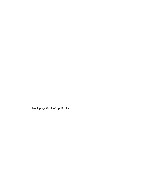Blank page (Back of application)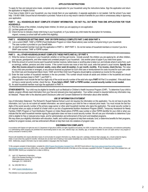# **APPLICATION INSTRUCTIONS**

To apply for free and reduced price meals, complete only one application for your household using the instructions below. Sign the application and return the application to Heights School.

If you have a foster child in your household, you may include them on your application. A separate application is not needed. Call the school if you need help: 516-801-5066. Ensure that all information is provided. Failure to do so may result in denial of benefits for your child or unnecessary delay in approving your application.

## **PART 1 ALL HOUSEHOLDS MUST COMPLETE STUDENT INFORMATION. DO NOT FILL OUT MORE THAN ONE APPLICATION FOR YOUR HOUSEHOLD.**

- (1) Print the names of the children, including foster children, for whom you are applying on one application.
- (2) List their grade and school.
- (3) Check the box to indicate a foster child living in your household, or if you believe any child meets the description for homeless, migrant, runaway (a school staff will confirm this eligibility).

## **PART 2 HOUSEHOLDS GETTING SNAP, TANF OR FDPIR SHOULD COMPLETE PART 2 AND SIGN PART 4.**

- (1) List a current SNAP, TANF or FDPIR (Food Distribution Program on Indian Reservations) case number of anyone living in your household. The case number is provided on your benefit letter.
- (2) An adult household member must sign the application in PART 4. SKIP PART 3. Do not list names of household members or income if you list a SNAP case number, TANF or FDPIR number.

### **PART 3 ALL OTHER HOUSEHOLDS MUST COMPLETE THESE PARTS AND ALL OF PART 4.**

- (1) Write the names of everyone in your household, whether or not they get income. Include yourself, the children you are applying for, all other children, your spouse, grandparents, and other related and unrelated people in your household. Use another piece of paper if you need more space.
- (2) Write the amount of current income each household member receives, before taxes or anything else is taken out, and indicate where it came from, such as earnings, welfare, pensions and other income. If the current income was more or less than usual, write that person's usual income. **Specify how often this income amount is received: weekly, every other week (bi-weekly), 2 x per month, monthly. If no income, check the box.** The value of any child care provided or arranged, or any amount received as payment for such child care or reimbursement for costs incurred for such care under the Child Care and Development Block Grant, TANF and At Risk Child Care Programs should **not** be considered as income for this program.
- (3) Enter the total number of household members in the box provided. This number should include all adults and children in the household and should reflect the members listed in PART 1 and PART 3.
- (4) The application must include the last four digits only of the social security number of the adult who signs **PART 4** if Part 3 is completed. If the adult does not have a social security number, check the box. **If you listed a SNAP, TANF or FDPIR number, a social security number is not needed.**
- (5) An adult household member must sign the application in PART 4.

**OTHER BENEFITS:** Your child may be eligible for benefits such as Medicaid or Children's Health Insurance Program (CHIP). To determine if your child is eligible, program officials need information from your free and reduced price meal application. Your written consent is required before any information may be released. Please refer to the attached parent Disclosure Letter and Consent Statement for information about other benefits.

### **USE OF INFORMATION STATEMENT**

Use of Information Statement: The Richard B. Russell National School Lunch Act requires the information on this application. You do not have to give the information, but if you do not submit all needed information, we cannot approve your child for free or reduced price meals. You must include the last four digits of the social security number of the primary wage earner or other adult household member who signs the application. The social security number is not required when you apply on behalf of a foster child or you list a Supplemental Nutrition Assistance Program (SNAP), Temporary Assistance for Needy Families (TANF) Program or Food Distribution Program on Indian Reservations (FDPIR) case number or other FDPIR identifier for your child or when you indicate that the adult household member signing the application does not have a social security number. We will use your information to determine if your child is eligible for free or reduced price meals, and for administration and enforcement of the lunch and breakfast programs.

We may share your eligibility information with education, health, and nutrition programs to help them evaluate, fund, or determine benefits for their programs, auditors for program reviews, and law enforcement officials to help them look into violations of program rules.

#### **DISCRIMINATION COMPLAINTS**

In accordance with Federal civil rights law and U.S. Department of Agriculture (USDA) civil rights regulations and policies, the USDA, its Agencies, offices, and employees, and institutions participating in or administering USDA programs are prohibited from discriminating based on race, color, national origin, sex, disability, age, or reprisal or retaliation for prior civil rights activity in any program or activity conducted or funded by USDA.

Persons with disabilities who require alternative means of communication for program information (e.g. Braille, large print, audiotape, American Sign Language, etc.), should contact the Agency (State or local) where they applied for benefits. Individuals who are deaf, hard of hearing or have speech disabilities may contact USDA through the Federal Relay Service at (800) 877- 8339. Additionally, program information may be made available in languages other than English.

To file a program complaint of discrimination, complete the [USDA Program Discrimination Complaint Form,](http://www.ocio.usda.gov/sites/default/files/docs/2012/Complain_combined_6_8_12.pdf) (AD-3027) found online at: [https://www.usda.gov/oascr/how-to-file-a-program](https://www.usda.gov/oascr/how-to-file-a-program-discrimination-complaint)[discrimination-complaint](https://www.usda.gov/oascr/how-to-file-a-program-discrimination-complaint) and at any USDA office, or write a letter addressed to USDA and provide in the letter all of the information requested in the form. To request a copy of the complaint form, call (866) 632-9992. Submit your completed form or letter to USDA by:

- mail: U.S. Department of Agriculture Office of the Assistant Secretary for Civil Rights 1400 Independence Avenue, SW Washington, D.C. 20250-9410;
- (2) fax: (202) 690-7442; or
- (3) email: [program.intake@usda.gov.](mailto:program.intake@usda.gov)

This institution is an equal opportunity provide